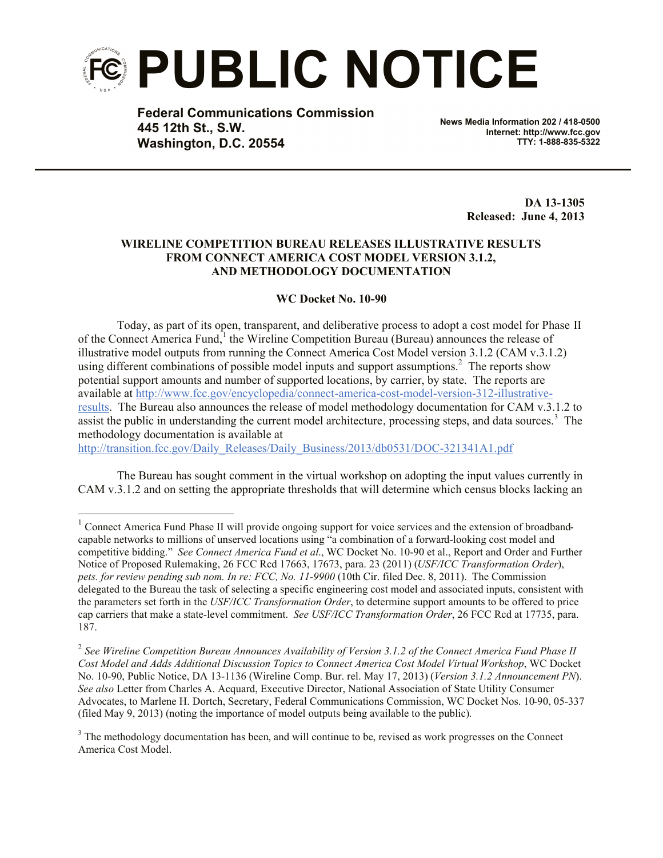

**Federal Communications Commission 445 12th St., S.W. Washington, D.C. 20554**

**News Media Information 202 / 418-0500 Internet: http://www.fcc.gov TTY: 1-888-835-5322**

> **DA 13-1305 Released: June 4, 2013**

## **WIRELINE COMPETITION BUREAU RELEASES ILLUSTRATIVE RESULTS FROM CONNECT AMERICA COST MODEL VERSION 3.1.2, AND METHODOLOGY DOCUMENTATION**

## **WC Docket No. 10-90**

Today, as part of its open, transparent, and deliberative process to adopt a cost model for Phase II of the Connect America Fund,<sup>1</sup> the Wireline Competition Bureau (Bureau) announces the release of illustrative model outputs from running the Connect America Cost Model version 3.1.2 (CAM v.3.1.2) using different combinations of possible model inputs and support assumptions.<sup>2</sup> The reports show potential support amounts and number of supported locations, by carrier, by state. The reports are available at http://www.fcc.gov/encyclopedia/connect-america-cost-model-version-312-illustrativeresults. The Bureau also announces the release of model methodology documentation for CAM v.3.1.2 to assist the public in understanding the current model architecture, processing steps, and data sources.<sup>3</sup> The methodology documentation is available at

http://transition.fcc.gov/Daily\_Releases/Daily\_Business/2013/db0531/DOC-321341A1.pdf

l

The Bureau has sought comment in the virtual workshop on adopting the input values currently in CAM v.3.1.2 and on setting the appropriate thresholds that will determine which census blocks lacking an

<sup>&</sup>lt;sup>1</sup> Connect America Fund Phase II will provide ongoing support for voice services and the extension of broadbandcapable networks to millions of unserved locations using "a combination of a forward-looking cost model and competitive bidding." *See Connect America Fund et al*., WC Docket No. 10-90 et al., Report and Order and Further Notice of Proposed Rulemaking, 26 FCC Rcd 17663, 17673, para. 23 (2011) (*USF/ICC Transformation Order*), *pets. for review pending sub nom. In re: FCC, No. 11-9900* (10th Cir. filed Dec. 8, 2011). The Commission delegated to the Bureau the task of selecting a specific engineering cost model and associated inputs, consistent with the parameters set forth in the *USF/ICC Transformation Order*, to determine support amounts to be offered to price cap carriers that make a state-level commitment. *See USF/ICC Transformation Order*, 26 FCC Rcd at 17735, para. 187.

<sup>2</sup> *See Wireline Competition Bureau Announces Availability of Version 3.1.2 of the Connect America Fund Phase II Cost Model and Adds Additional Discussion Topics to Connect America Cost Model Virtual Workshop*, WC Docket No. 10-90, Public Notice, DA 13-1136 (Wireline Comp. Bur. rel. May 17, 2013) (*Version 3.1.2 Announcement PN*). *See also* Letter from Charles A. Acquard, Executive Director, National Association of State Utility Consumer Advocates, to Marlene H. Dortch, Secretary, Federal Communications Commission, WC Docket Nos. 10-90, 05-337 (filed May 9, 2013) (noting the importance of model outputs being available to the public).

<sup>&</sup>lt;sup>3</sup> The methodology documentation has been, and will continue to be, revised as work progresses on the Connect America Cost Model.